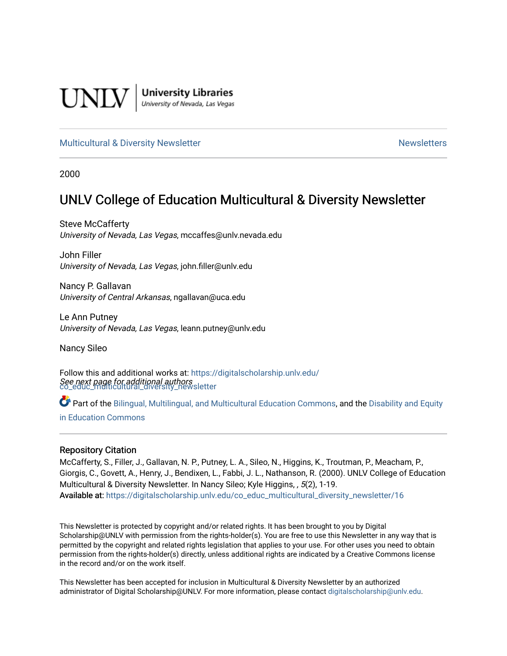

**University Libraries**<br>University of Nevada, Las Vegas

#### [Multicultural & Diversity Newsletter](https://digitalscholarship.unlv.edu/co_educ_multicultural_diversity_newsletter) Newsletter [Newsletters](https://digitalscholarship.unlv.edu/co_educ_newsletters) Newsletters

2000

### UNLV College of Education Multicultural & Diversity Newsletter

Steve McCafferty University of Nevada, Las Vegas, mccaffes@unlv.nevada.edu

John Filler University of Nevada, Las Vegas, john.filler@unlv.edu

Nancy P. Gallavan University of Central Arkansas, ngallavan@uca.edu

Le Ann Putney University of Nevada, Las Vegas, leann.putney@unlv.edu

Nancy Sileo

See next page for additional authors [co\\_educ\\_multicultural\\_diversity\\_newsletter](https://digitalscholarship.unlv.edu/co_educ_multicultural_diversity_newsletter?utm_source=digitalscholarship.unlv.edu%2Fco_educ_multicultural_diversity_newsletter%2F16&utm_medium=PDF&utm_campaign=PDFCoverPages)  Follow this and additional works at: [https://digitalscholarship.unlv.edu/](https://digitalscholarship.unlv.edu/co_educ_multicultural_diversity_newsletter?utm_source=digitalscholarship.unlv.edu%2Fco_educ_multicultural_diversity_newsletter%2F16&utm_medium=PDF&utm_campaign=PDFCoverPages)

Part of the [Bilingual, Multilingual, and Multicultural Education Commons,](http://network.bepress.com/hgg/discipline/785?utm_source=digitalscholarship.unlv.edu%2Fco_educ_multicultural_diversity_newsletter%2F16&utm_medium=PDF&utm_campaign=PDFCoverPages) and the Disability and Equity [in Education Commons](http://network.bepress.com/hgg/discipline/1040?utm_source=digitalscholarship.unlv.edu%2Fco_educ_multicultural_diversity_newsletter%2F16&utm_medium=PDF&utm_campaign=PDFCoverPages)

#### Repository Citation

McCafferty, S., Filler, J., Gallavan, N. P., Putney, L. A., Sileo, N., Higgins, K., Troutman, P., Meacham, P., Giorgis, C., Govett, A., Henry, J., Bendixen, L., Fabbi, J. L., Nathanson, R. (2000). UNLV College of Education Multicultural & Diversity Newsletter. In Nancy Sileo; Kyle Higgins, , 5(2), 1-19. Available at: [https://digitalscholarship.unlv.edu/co\\_educ\\_multicultural\\_diversity\\_newsletter/16](https://digitalscholarship.unlv.edu/co_educ_multicultural_diversity_newsletter/16) 

This Newsletter is protected by copyright and/or related rights. It has been brought to you by Digital Scholarship@UNLV with permission from the rights-holder(s). You are free to use this Newsletter in any way that is permitted by the copyright and related rights legislation that applies to your use. For other uses you need to obtain permission from the rights-holder(s) directly, unless additional rights are indicated by a Creative Commons license in the record and/or on the work itself.

This Newsletter has been accepted for inclusion in Multicultural & Diversity Newsletter by an authorized administrator of Digital Scholarship@UNLV. For more information, please contact [digitalscholarship@unlv.edu.](mailto:digitalscholarship@unlv.edu)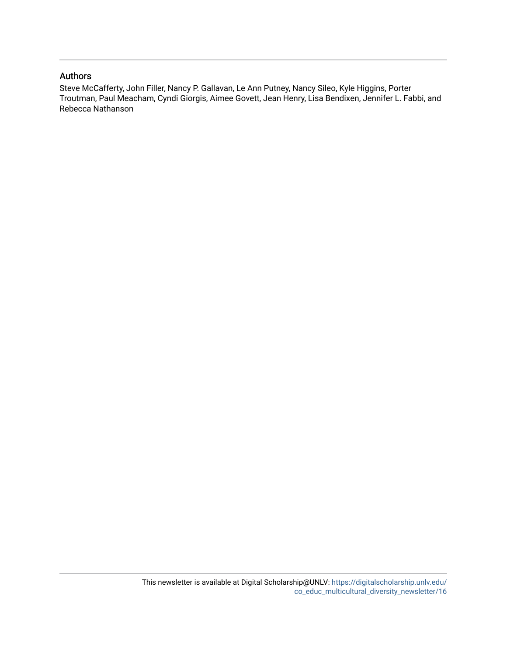#### Authors

Steve McCafferty, John Filler, Nancy P. Gallavan, Le Ann Putney, Nancy Sileo, Kyle Higgins, Porter Troutman, Paul Meacham, Cyndi Giorgis, Aimee Govett, Jean Henry, Lisa Bendixen, Jennifer L. Fabbi, and Rebecca Nathanson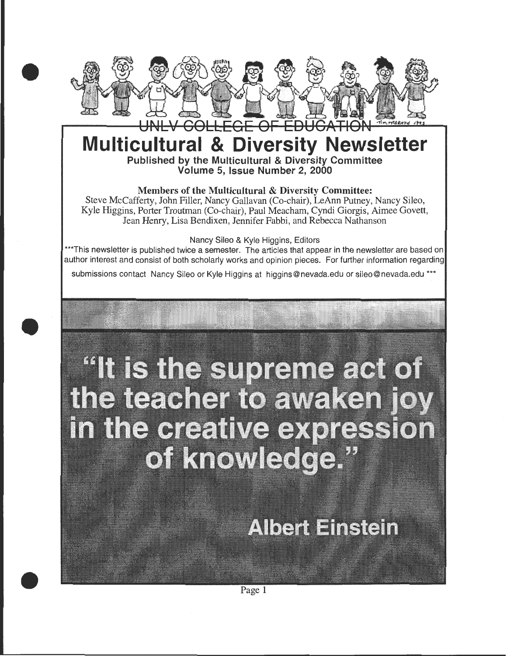

## **Multicultural & Diversity Newsletter**  Published by the Multicultural & Diversity Committee Volume 5, Issue Number 2, 2000

#### Members of the Multicultural & Diversity Committee:

Steve McCafferty, John Filler, Nancy Gallavan (Co-chair), LeAnn Putney, Nancy Sileo, Kyle Higgins, Porter Troutman (Co-chair), Paul Meacham, Cyndi Giorgis, Aimee Govett, Jean Henry, Lisa Bendixen, Jennifer Fabbi, and Rebecca Nathanson

#### Nancy Sileo & Kyle Higgins, Editors

\*\*\*This newsletter is published twice a semester. The articles that appear in the newsletter are based on author interest and consist of both scholarly works and opinion pieces. For further information regarding

submissions contact Nancy Sileo or Kyle Higgins at higgins@nevada.edu or sileo@nevada.edu \*\*\*

•

•

# "It is the supreme act of the teacher to awaken joy in the creative expression of knowledge."

# **Albert Einstein**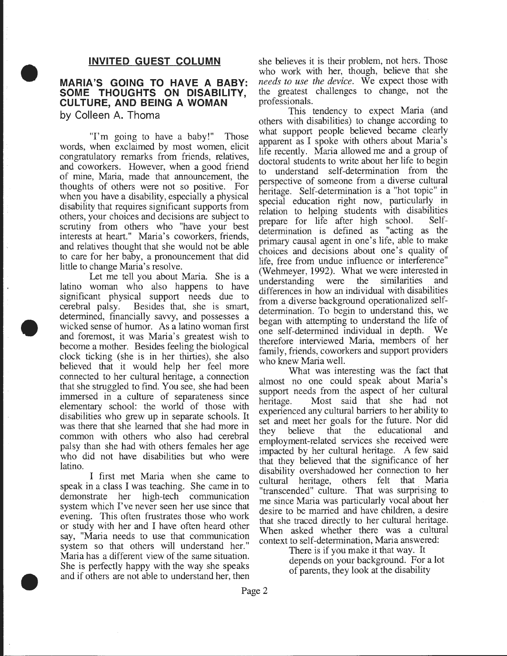#### **INVITED GUEST COLUMN**

#### **MARIA'S GOING TO HAVE A BABY: SOME THOUGHTS ON DISABILITY, CULTURE, AND BEING A WOMAN**

**by Colleen A. Thoma** 

•

•

•

"I'm going to have a baby!" Those words, when exclaimed by most women, elicit congratulatory remarks from friends, relatives, and coworkers. However, when a good friend of mine, Maria, made that announcement, the thoughts of others were not so positive. For when you have a disability, especially a physical disability that requires significant supports from others, your choices and decisions are subject to scrutiny from others who "have your best interests at heart." Maria's coworkers, fnends, and relatives thought that she would not be able to care for her baby, a pronouncement that did little to change Maria's resolve.

Let me tell you about Maria. She is a latino woman who also happens to have significant physical support needs due to cerebral palsy. Besides that, she is smart, determined, financially savvy, and possesses a wicked sense of humor. As a latino woman first and foremost, it was Maria's greatest wish to become a mother. Besides feeling the biological clock ticking (she is in her thirties), she also believed that it would help her feel more connected to her cultural heritage, a connection that she struggled to find. You see, she had been immersed in a culture of separateness since elementary school: the world of those with disabilities who grew up in separate schools. It was there that she learned that she had more in common with others who also had cerebral palsy than she had with others females her age who did not have disabilities but who were latino.

I first met Maria when she came to speak in a class I was teaching. She came in to demonstrate her high-tech communication system which I've never seen her use since that evening. This often frustrates those who work or study with her and I have often heard other say, "Maria needs to use that communication system so that others will understand her." Maria has a different view of the same situation. She is perfectly happy with the way she speaks and if others are not able to understand her, then

she believes it is their problem, not hers. Those who work with her, though, believe that she *needs to use the device.* We expect those With the greatest challenges to change, not the professionals. .

This tendency to expect Maria (and others with disabilities) to change according to what support people believed became clearly apparent as I spoke with others about Maria's life recently. Maria allowed me and a group of doctoral students to write about her life to begin to understand self-determination from the perspective of someone from a diverse cultural heritage. Self-determination is a "hot topic" in special education right now, particularly in relation to helping students with disabilities prepare for life after high school. Selfdetermination is defined as "acting as the primary causal agent in one's life, able to make choices and decisions about one's quality of life, free from undue influence or interference" (Wehmeyer, 1992). What we were interested in understanding were the similarities and understanding were the similarities and differences in how an individual with disabilities from a diverse background operationalized selfdetermination. To begin to understand this, we began with attempting to understand the life of one self-determined individual in depth. We therefore interviewed Maria, members of. her family, friends, coworkers and support providers who knew Maria well.

What was interesting was the fact that almost no one could speak about Maria's support needs from the aspect of her cultural heritage. Most said that she had not experienced any cultural barriers to her ability to set and meet her goals for the future. Nor did they believe that the educational and employment-related services she received were impacted by her cultural heritage. A few said that they believed that the significance of her disability overshadowed her connection to her cultural heritage, others felt that Maria "transcended" culture. That was surprising to me since Maria was particularly vocal about her desire to be married and have children, a desire that she traced directly to her cultural heritage. When asked whether there was a cultural context to self-determination, Maria answered:

> There is if you make it that way. It depends on your background. For a lot of parents, they look at the disability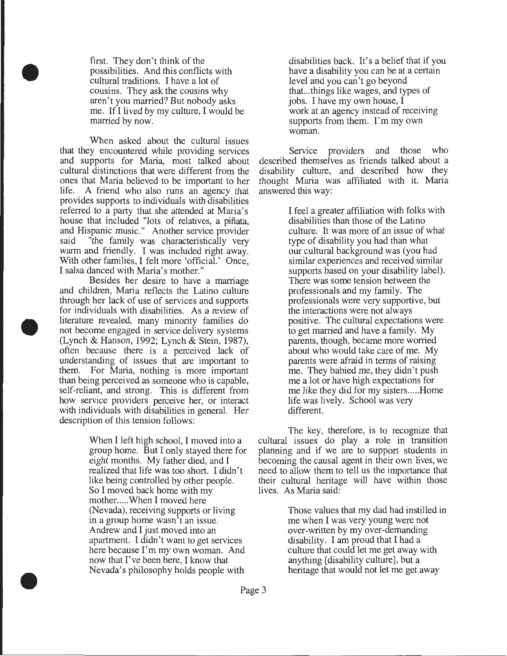first. They don't think of the possibilities. And this conflicts with cultural traditions. I have a lot of cousins. They ask the cousins why aren't you married? But nobody asks me. If I lived by my culture, I would be married by now.

•

•

•

When asked about the cultural issues that they encountered while providing services and supports for Maria, most talked about cultural distinctions that were different from the ones that Maria believed to be important to her life. A friend who also runs an agency that A friend who also runs an agency that provides supports to individuals with disabilities referred to a party that she attended at Maria's house that included "lots of relatives, a pinata, and Hispanic music." Another service provider said "the family was characteristically very warm and friendly. I was included right away. With other families, I felt more 'official.' Once, I salsa danced with Maria's mother."

Besides her desire to have a marriage and children, Maria reflects the Latino culture through her lack of use of services and supports for individuals with disabilities. As a review of literature revealed, many minority families do not become engaged in service delivery systems (Lynch & Hanson, 1992; Lynch & Stein, 1987), often because there is a perceived lack of understanding of issues that are important to them. For Maria, nothing is more important than being perceived as someone who is capable, self-reliant, and strong. This is different from how service providers perceive her, or interact with individuals with disabilities in general. Her description of this tension follows:

> When I left high school, I moved into a group home. But I only stayed there for eight months. My father died, and I realized that life was too short. I didn't like being controlled by other people. So I moved back home with my mother. .... When I moved here (Nevada), receiving supports or living in a group home wasn't an issue. Andrew and I just moved into an apartment. I didn't want to get services here because I'm my own woman. And now that I've been here, I know that Nevada's philosophy holds people with

disabilities back. It's a belief that if you have a disability you can be at a certain level and you can't go beyond that...things like wages, and types of jobs. I have my own house, I work at an agency instead of receiving supports from them. I'm my own woman.

Service providers and those who described themselves as friends talked about a disability culture, and described how they thought Maria was affiliated with it. Maria answered this way:

> I feel a greater affiliation with folks with disabilities than those of the Latino culture. It was more of an issue of what type of disability you had than what our cultural background was (you had similar experiences and received similar supports based on your disability label). There was some tension between the professionals and my family. The professionals were very supportive, but the interactions were not always positive. The cultural expectations were to get married and have a family. My parents, though, became more worried about who would take care of me. My parents were afraid in terms of raising me. They babied me, they didn't push me a lot or have high expectations for me like they did for my sisters..... Home life was lively. School was very different.

The key, therefore, is to recognize that cultural issues do play a role in transition planning and if we are to support students in becoming the causal agent in their own lives, we need to allow them to tell us the importance that their cultural heritage will have within those lives. As Maria said:

> Those values that my dad had instilled in me when I was very young were not over-written by my over-demanding disability. I am proud that I had a culture that could let me get away with anything [disability culture], but a heritage that would not let me get away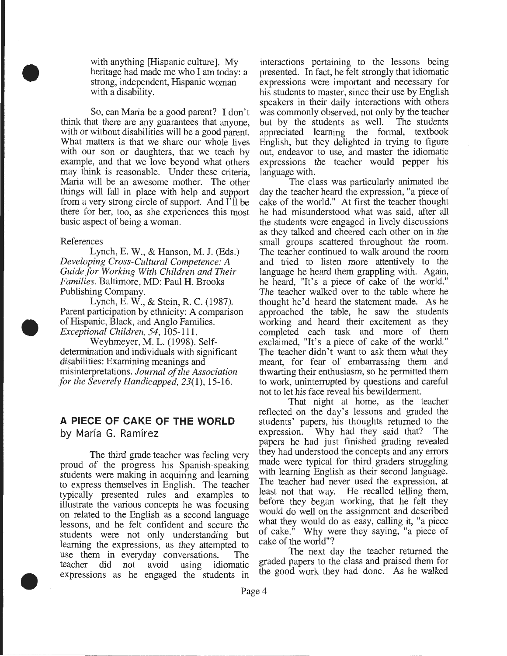with anything [Hispanic culture]. My heritage had made me who I am today: a strong, independent, Hispanic woman with a disability.

So, can Maria be a good parent? I don't think that there are any guarantees that anyone, with or without disabilities will be a good parent. What matters is that we share our whole lives with our son or daughters, that we teach by example, and that we love beyond what others may think is reasonable. Under these criteria, Maria will be an awesome mother. The other things will fall in place with help and support from a very strong circle of support. And I'll be there for her, too, as she experiences this most basic aspect of being a woman.

#### References

•

•

•

Lynch, E. W., & Hanson, M. J. (Eds.) *Developing Cross-Cultural Competence: A Guide for Working With Children and Their Families.* Baltimore, MD: Paul H. Brooks Publishing Company.

Lynch, E. W., & Stein, R. C. (1987). Parent participation by ethnicity: A comparison of Hispanic, Black, and Anglo Families. *Exceptional Children, 54,* 105-111.

Weyhmeyer, M. L. (1998). Selfdetermination and individuals with significant disabilities: Examining meanings and misinterpretations. *Journal of the Association for the Severely Handicapped,* 23(1), 15-16.

#### **A PIECE OF CAKE OF THE WORLD**

by María G. Ramírez

The third grade teacher was feeling very proud of the progress his Spanish-speaking students were making in acquiring and learning to express themselves in English. The teacher typically presented rules and examples to illustrate the various concepts he was focusing on related to the English as a second language lessons, and he felt confident and secure the students were not only understanding but learning the expressions, as they attempted to use them in everyday conversations. The teacher did not avoid using idiomatic expressions as he engaged the students in interactions pertaining to the lessons being presented. In fact, he felt strongly that idiomatic expressions were important and necessary for his students to master, since their use by English speakers in their daily interactions with others was commonly observed, not only by the teacher<br>but by the students as well. The students but by the students as well. appreciated learning the formal, textbook English, but they delighted in trying to figure out, endeavor to use, and master the idiomatic expressions the teacher would pepper his language with.

The class was particularly animated the day the teacher heard the expression, "a piece of cake of the world." At first the teacher thought he had misunderstood what was said, after all the students were engaged in lively discussions as they talked and cheered each other on in the small groups scattered throughout the room. The teacher continued to walk around the room and tried to listen more attentively to the language he heard them grappling with. Again, he heard, "It's a piece of cake of the world." The teacher walked over to the table where he thought he'd heard the statement made. As he approached the table, he saw the students working and heard their excitement as they completed each task and more of them exclaimed, "It's a piece of cake of the world." The teacher didn't want to ask them what they meant, for fear of embarrassing them and thwarting their enthusiasm, so he permitted them to work, uninterrupted by questions and careful not to let his face reveal his bewilderment.

That night at home, as the teacher reflected on the day's lessons and graded the students' papers, his thoughts returned to the expression. Why had they said that? The papers he had just finished grading revealed they had understood the concepts and any errors made were typical for third graders struggling with learning English as their second language. The teacher had never used the expression, at least not that way. He recalled telling them, before they began working, that he felt they would do well on the assignment and described what they would do as easy, calling it, "a piece of cake." Why were they saying, "a piece of cake of the world"?

The next day the teacher returned the graded papers to the class and praised them for the good work they had done. As he walked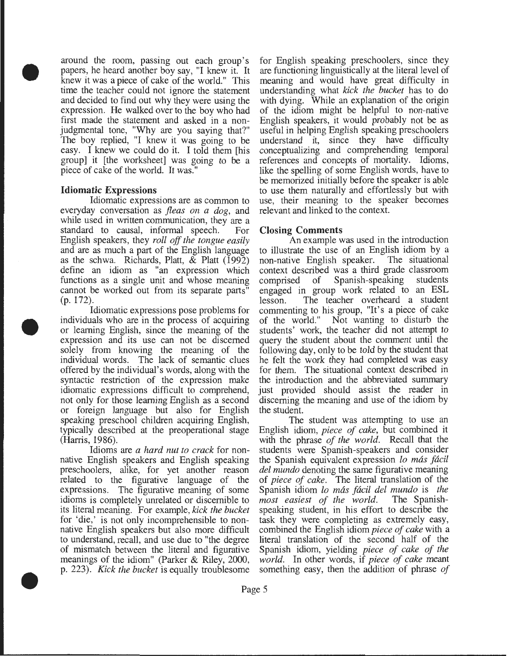around the room, passing out each group's papers, he heard another boy say, "I knew it. It knew it was a piece of cake of the world." This time the teacher could not ignore the statement and decided to find out why they were using the expression. He walked over to the boy who had first made the statement and asked in a nonjudgmental tone, "Why are you saying that?" The boy replied, "I knew it was going to be easy. I knew we could do it. I told them [his group] it [the worksheet] was going to be a piece of cake of the world. It was."

#### **Idiomatic Expressions**

•

•

•

Idiomatic expressions are as common to everyday conversation as *fleas on a dog,* and while used in written communication, they are a standard to causal, informal speech. For English speakers, they *roll off the tongue easily*  and are as much a part of the English language as the schwa. Richards, Platt, & Platt (1992) define an idiom as "an expression which functions as a single unit and whose meaning cannot be worked out from its separate parts" (p. 172).

Idiomatic expressions pose problems for individuals who are in the process of acquiring or learning English, since the meaning of the expression and its use can not be discerned solely from knowing the meaning of the individual words. The lack of semantic clues offered by the individual's words, along with the syntactic restriction of the expression make idiomatic expressions difficult to comprehend, not only for those learning English as a second or foreign language but also for English speaking preschool children acquiring English, typically described at the preoperational stage (Harris, 1986).

Idioms are *a hard nut to crack* for nonnative English speakers and English speaking preschoolers, alike, for yet another reason related to the figurative language of the expressions. The figurative meaning of some idioms is completely unrelated or discernible to its literal meaning. For example, *kick the bucket*  for 'die,' is not only incomprehensible to nonnative English speakers but also more difficult to understand, recall, and use due to "the degree of mismatch between the literal and figurative meanings of the idiom" (Parker & Riley, 2000, p. 223). *Kick the bucket* is equally troublesome

for English speaking preschoolers, since they are functioning linguistically at the literal level of meaning and would have great difficulty in understanding what *kick the bucket* has to do with dying. While an explanation of the origin of the idiom might be helpful to non-native English speakers, it would probably not be as useful in helping English speaking preschoolers understand it, since they have difficulty conceptualizing and comprehending temporal references and concepts of mortality. Idioms, like the spelling of some English words, have to be memorized initially before the speaker is able to use them naturally and effortlessly but with use, their meaning to the speaker becomes relevant and linked to the context.

#### **Closing Comments**

An example was used in the introduction to illustrate the use of an English idiom by a non-native English speaker. context described was a third grade classroom comprised of Spanish-speaking students engaged in group work related to an ESL lesson. The teacher overheard a student commenting to his group, "It's a piece of cake of the world." Not wanting to disturb the students' work, the teacher did not attempt to query the student about the comment until the following day, only to be told by the student that he felt the work they had completed was easy for them. The situational context described in the introduction and the abbreviated summary just provided should assist the reader in discerning the meaning and use of the idiom by the student.

The student was attempting to use an English idiom, *piece of cake,* but combined it with the phrase *of the world.* Recall that the students were Spanish-speakers and consider the Spanish equivalent expression *lo mas facil del mundo* denoting the same figurative meaning of *piece of cake.* The literal translation of the Spanish idiom *lo mas facil del mundo* is *the most easiest of the world.* The Spanishspeaking student, in his effort to describe the task they were completing as extremely easy, combined the English idiom *piece of cake* with a literal translation of the second half of the Spanish idiom, yielding *piece of cake of the world.* In other words, if *piece of cake* meant something easy, then the addition of phrase *of*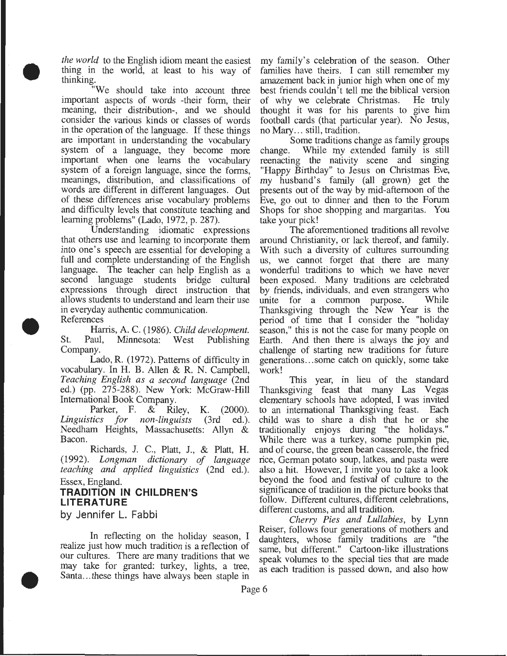*the world* to the English idiom meant the easiest thing in the world, at least to his way of thinking.

"We should take into account three important aspects of words -their form, their meaning, their distribution-, and we should consider the various kinds or classes of words in the operation of the language. If these things are important in understanding the vocabulary system of a language, they become more important when one learns the vocabulary system of a foreign language, since the forms, meanings, distribution, and classifications of words are different in different languages. Out of these differences arise vocabulary problems and difficulty levels that constitute teaching and learning problems" (Lado, 1972, p. 287).

Understanding idiomatic expressions that others use and learning to incorporate them into one's speech are essential for developing a full and complete understanding of the English language. The teacher can help English as a second language students bridge cultural expressions through direct instruction that allows students to understand and learn their use in everyday authentic communication.

References

•

•

•

Harris, A. C. (1986). *Child development.*  St. Paul, Minnesota: West Publishing Company.

Lado, R. (1972). Patterns of difficulty in vocabulary. In H. B. Allen & R. N. Campbell, *Teaching English as a second language* (2nd ed.) (pp. 275-288). New York: McGraw-Hill International Book Company.

Parker, F. & Riley, K. (2000). *Linguistics for non-linguists* (3rd ed.). Needham Heights, Massachusetts: Allyn & Bacon.

Richards, J. C., Platt, J., & Platt, H. (1992). *Longman dictionary of language teaching and applied linguistics* (2nd ed.). Essex, England.

#### **TRADITION IN CHILDREN'S LITERATURE**

by Jennifer L. Fabbi

In reflecting on the holiday season, I realize just how much tradition is a reflection of our cultures. There are many traditions that we may take for granted: turkey, lights, a tree, Santa...these things have always been staple in

my family's celebration of the season. Other families have theirs. I can still remember my amazement back in junior high when one of my best friends couldn't tell me the biblical version of why we celebrate Christmas. He truly thought it was for his parents to give him football cards (that particular year). No Jesus, no Mary ... still, tradition.

Some traditions change as family groups change. While my extended family is still reenacting the nativity scene and singing "Happy Birthday" to Jesus on Christmas Eve, my husband's family (all grown) get the presents out of the way by mid-afternoon of the Eve, go out to dinner and then to the Forum Shops for shoe shopping and margaritas. You take your pick!

The aforementioned traditions all revolve around Christianity, or lack thereof, and family. With such a diversity of cultures surrounding us, we cannot forget that there are many wonderful traditions to which we have never been exposed. Many traditions are celebrated by friends, individuals, and even strangers who unite for a common purpose. While Thanksgiving through the New Year is the period of time that I consider the "holiday season," this is not the case for many people on Earth. And then there is always the joy and challenge of starting new traditions for future generations ... some catch on quickly, some take work!

This year, in lieu of the standard Thanksgiving feast that many Las Vegas elementary schools have adopted, I was invited to an international Thanksgiving feast. Each child was to share a dish that he or she traditionally enjoys during "the holidays." While there was a turkey, some pumpkin pie, and of course, the green bean casserole, the fried rice, German potato soup, latkes, and pasta were also a hit. However, I invite you to take a look beyond the food and festival of culture to the significance of tradition in the picture books that follow. Different cultures, different celebrations, different customs, and all tradition.

*Cherry Pies and Lullabies,* by Lynn Reiser, follows four generations of mothers and daughters, whose family traditions are "the same, but different." Cartoon-like illustrations speak volumes to the special ties that are made as each tradition is passed down, and also how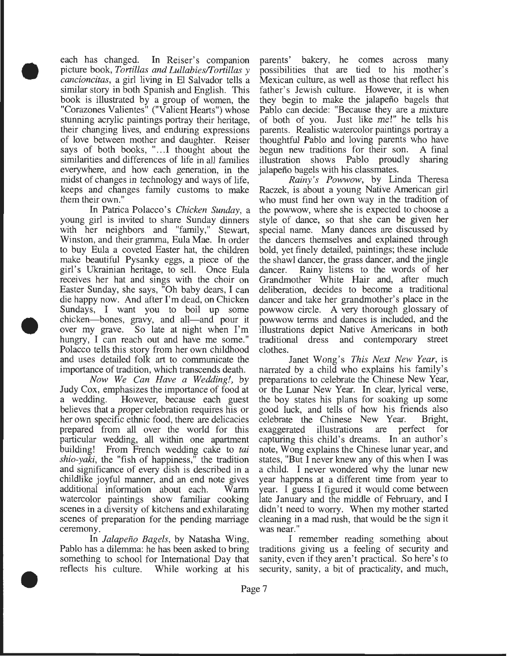each has changed. In Reiser's companion picture book, *Tortillas and Lullabies/I'ortillas y cancioncitas,* a girl living in El Salvador tells a similar story in both Spanish and English. This book is illustrated by a group of women, the "Corazones Valientes" ("Valient Hearts") whose stunning acrylic paintings portray their heritage, their changing lives, and enduring expressions of love between mother and daughter. Reiser says of both books, "... I thought about the similarities and differences of life in all families everywhere, and how each generation, in the midst of changes in technology and ways of life, keeps and changes family customs to make them their own."

•

•

•

In Patrica Polacco's *Chicken Sunday,* a young girl is invited to share Sunday dinners with her neighbors and "family," Stewart, Winston, and their gramma, Eula Mae. In order to buy Eula a coveted Easter hat, the children make beautiful Pysanky eggs, a piece of the girl's Ukrainian heritage, to sell. Once Eula receives her hat and sings with the choir on Easter Sunday, she says, "Oh baby dears, I can die happy now. And after I'm dead, on Chicken Sundays, I want you to boil up some chicken—bones, gravy, and all—and pour it over my grave. So late at night when I'm hungry, I can reach out and have me some." Polacco tells this story from her own childhood and uses detailed folk art to communicate the importance of tradition, which transcends death.

*Now We Can Have a Wedding!,* by Judy Cox, emphasizes the importance of food at However, because each guest believes that a proper celebration requires his or her own specific ethnic food, there are delicacies prepared from all over the world for this particular wedding, all within one apartment building! From French wedding cake to *tai shio-yaki,* the "fish of happiness," the tradition and significance of every dish is described in a childlike joyful manner, and an end note gives additional information about each. Warm watercolor paintings show familiar cooking scenes in a diversity of kitchens and exhilarating scenes of preparation for the pending marriage ceremony.

In *Jalapeno Bagels,* by Natasha Wing, Pablo has a dilemma: he has been asked to bring something to school for International Day that reflects his culture. While working at his parents' bakery, he comes across many possibilities that are tied to his mother's Mexican culture, as well as those that reflect his father's Jewish culture. However, it is when they begin to make the jalapeno bagels that Pablo can decide: "Because they are a mixture of both of you. Just like me!" he tells his parents. Realistic watercolor paintings portray a thoughtful Pablo and loving parents who have begun new traditions for their son. A final illustration shows Pablo proudly sharing jalapeno bagels with his classmates.

*Rainy's Powwow,* by Linda Theresa Raczek, is about a young Native American girl who must find her own way in the tradition of the powwow, where she is expected to choose a style of dance, so that she can be given her special name. Many dances are discussed by the dancers themselves and explained through bold, yet finely detailed, paintings; these include the shawl dancer, the grass dancer, and the jingle dancer. Rainy listens to the words of her Grandmother White Hair and, after much deliberation, decides to become a traditional dancer and take her grandmother's place in the powwow circle. A very thorough glossary of powwow terms and dances is included, and the illustrations depict Native Americans in both traditional dress and contemporary street clothes.

Janet Wong's *This Next New Year,* is narrated by a child who explains his family's preparations to celebrate the Chinese New Year, or the Lunar New Year. In clear, lyrical verse, the boy states his plans for soaking up some good luck, and tells of how his friends also celebrate the Chinese New Year. exaggerated illustrations are perfect for capturing this child's dreams. In an author's note, Wong explains the Chinese lunar year, and states, "But I never knew any of this when I was a child. I never wondered why the lunar new year happens at a different time from year to year. I guess I figured it would come between late January and the middle of February, and I didn't need to worry. When my mother started cleaning in a mad rush, that would be the sign it was near."

I remember reading something about traditions giving us a feeling of security and sanity, even if they aren't practical. So here's to security, sanity, a bit of practicality, and much,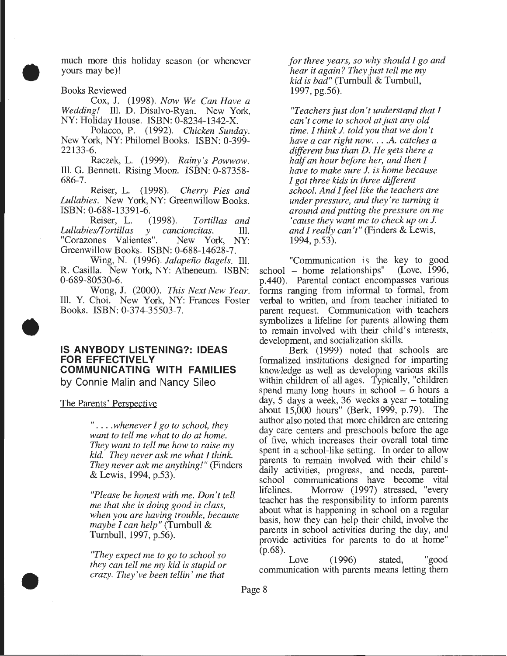much more this holiday season (or whenever yours may be)!

Books Reviewed

•

•

•

Cox, J. (1998). *Now We Can Have a Wedding!* Ill. D. Disalvo-Ryan. New York, NY: Holiday House. ISBN: 0-8234-1342-X.

Polacca, P. (1992). *Chicken Sunday.*  New York, NY: Philomel Books. ISBN: 0-399- 22133-6.

Raczek, L. (1999). *Rainy's Powwow.*  Ill. G. Bennett. Rising Moon. ISBN: 0-87358- 686-7.

Reiser, L. (1998). *Cherry Pies and Lullabies.* New York, NY: Greenwillow Books. ISBN: 0-688-13391-6.

Reiser, L. (1998). *Tortillas and Lullabiesll'ortillas y cancioncitas.* Ill. "Corazones Valientes". Greenwillow Books. ISBN: 0-688-14628-7.

Wing, N. (1996). *Jalapeno Bagels.* Ill. R. Casilla. New York, NY: Atheneum. ISBN: 0-689-80530-6.

Wong, J. (2000). *This Next New Year.*  Ill. Y. Choi. New York, NY: Frances Foster Books. ISBN: 0-374-35503-7.

#### **IS ANYBODY LISTENING?: IDEAS FOR EFFECTIVELY COMMUNICATING WITH FAMILIES**  by Connie Malin and Nancy Sileo

The Parents' Perspective

" . ... *whenever I go to school, they want to tell me what to do at home. They want to tell me how to raise my kid. They never ask me what I think. They never ask me anything!"* (Finders & Lewis, 1994, p.53).

*"Please be honest with me. Don't tell me that she is doing good in class, when you are having trouble, because maybe I can help"* (Turnbull & Turnbull, 1997, p.56).

*"They expect me to go to school so they can tell me my kid is stupid or crazy. They've been tell in' me that* 

*for three years, so why should I go and hear it again? They just tell me my kid is bad"* (Turnbull & Turnbull, 1997, pg.56).

*"Teachers just don't understand that I can't come to school at just any old time. I think J. told you that we don't have a car right now .* .. *.* A. *catches a different bus than D. He gets there a half an hour before her, and then I have to make sure J. is home because I got three kids in three different school. And I feel like the teachers are under pressure, and they're turning it around and putting the pressure on me 'cause they want me to check up on J. and I really can't"* (Finders & Lewis, 1994, p.53).

"Communication is the key to good school - home relationships" p.440). Parental contact encompasses various forms ranging from informal to formal, from verbal to written, and from teacher initiated to parent request. Communication with teachers symbolizes a lifeline for parents allowing them to remain involved with their child's interests, development, and socialization skills.

Berk (1999) noted that schools are formalized institutions designed for imparting knowledge as well as developing various skills within children of all ages. Typically, "children spend many long hours in school  $-6$  hours a day, 5 days a week, 36 weeks a year- totaling about 15,000 hours" (Berk, 1999, p.79). The author also noted that more children are entering day care centers and preschools before the age of five, which increases their overall total time spent in a school-like setting. In order to allow parents to remain involved with their child's daily activities, progress, and needs, parentschool communications have become vital lifelines. Morrow (1997) stressed, "every teacher has the responsibility to inform parents about what is happening in school on a regular basis, how they can help their child, involve the parents in school activities during the day, and provide activities for parents to do at home" (p.68).

Love (1996) stated, "good communication with parents means letting them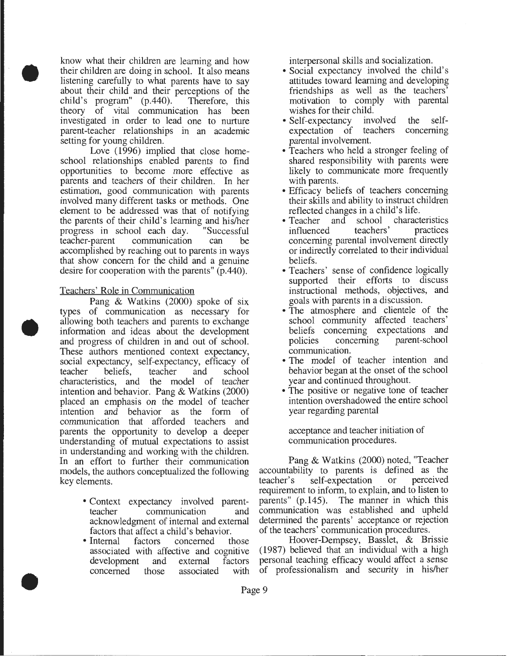know what their children are learning and how their children are doing in school. It also means listening carefully to what parents have to say about their child and their perceptions of the child's program" (p.440). Therefore, this child's program"  $(p.440)$ . theory of vital communication has been investigated in order to lead one to nurture parent-teacher relationships in an academic setting for young children.

•

•

•

Love (1996) implied that close homeschool relationships enabled parents to find opportunities to become more effective as parents and teachers of their children. In her estimation, good communication with parents involved many different tasks or methods. One element to be addressed was that of notifying the parents of their child's learning and his/her<br>progress in school each day. "Successful progress in school each day. teacher-parent communication can be accomplished by reaching out to parents in ways that show concern for the child and a genuine desire for cooperation with the parents" (p.440).

#### Teachers' Role in Communication

Pang & Watkins (2000) spoke of six types of communication as necessary for allowing both teachers and parents to exchange information and ideas about the development and progress of children in and out of school. These authors mentioned context expectancy, social expectancy, self-expectancy, efficacy of<br>teacher beliefs. teacher and school teacher beliefs, teacher and school characteristics, and the model of teacher intention and behavior. Pang & Watkins (2000) placed an emphasis on the model of teacher intention and behavior as the form of communication that afforded teachers and parents the opportunity to develop a deeper understanding of mutual expectations to assist in understanding and working with the children. In an effort to further their communication models, the authors conceptualized the following key elements.

- Context expectancy involved parentteacher communication and acknowledgment of internal and external factors that affect a child's behavior.
- Internal factors concerned those associated with affective and cognitive development and external factors concerned those associated with

interpersonal skills and socialization.

- Social expectancy involved the child's attitudes toward learning and developing friendships as well as the teachers' motivation to comply with parental
- wishes for their child.<br>Self-expectancy involved • Self-expectancy involved the selfexpectation of teachers concerning parental involvement.
- Teachers who held a stronger feeling of shared responsibility with parents were likely to communicate more frequently with parents.
- Efficacy beliefs of teachers concerning their skills and ability to instruct children reflected changes in a child's life.
- Teacher and school characteristics influenced teachers' practices concerning parental involvement directly or indirectly correlated to their individual beliefs.
- Teachers' sense of confidence logically supported their efforts to discuss instructional methods, objectives, and goals with parents in a discussion.
- The atmosphere and clientele of the school community affected teachers' beliefs concerning expectations and policies concerning parent-school communication.
- The model of teacher intention and behavior began at the onset of the school year and continued throughout.
- The positive or negative tone of teacher intention overshadowed the entire school year regarding parental

acceptance and teacher initiation of communication procedures.

Pang & Watkins (2000) noted, "Teacher accountability to parents is defined as the teacher's self-expectation or perceived teacher's self-expectation requirement to inform, to explain, and to listen to parents" (p.145). The manner in which this communication was established and upheld determined the parents' acceptance or rejection of the teachers' communication procedures.

Hoover-Dempsey, Basslet, & Brissie (1987) believed that an individual with a high personal teaching efficacy would affect a sense of professionalism and security in his/her

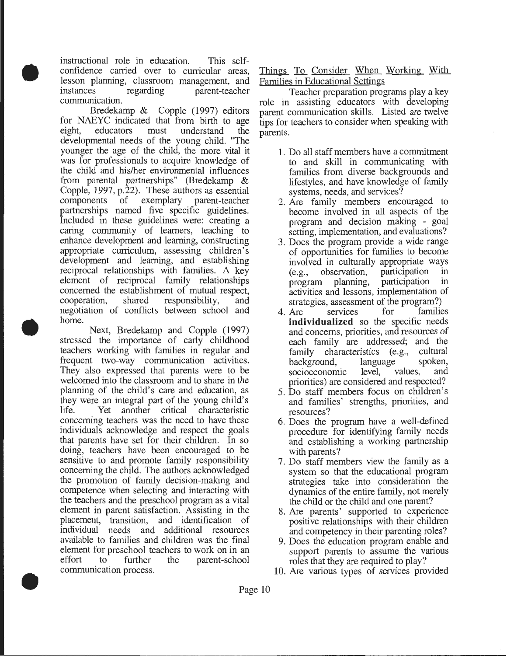instructional role in education. This selfconfidence carried over to curricular areas, lesson planning, classroom management, and parent-teacher communication.

•

•

•

Bredekamp & Copple (1997) editors for NAEYC indicated that from birth to age eight, educators must understand the developmental needs of the young child. "The younger the age of the child, the more vital it was for professionals to acquire knowledge of the child and his/her environmental influences from parental partnerships" (Bredekamp & Copple, 1997, p.22). These authors as essential components of exemplary parent-teacher partnerships named five specific guidelines. Included in these guidelines were: creating a caring community of learners, teaching to enhance development and learning, constructing appropriate curriculum, assessing children's development and learning, and establishing reciprocal relationships with families. A key element of reciprocal family relationships concerned the establishment of mutual respect, cooperation, shared responsibility, and negotiation of conflicts between school and home.

Next, Bredekamp and Copple (1997) stressed the importance of early childhood teachers working with families in regular and frequent two-way communication activities. They also expressed that parents were to be welcomed into the classroom and to share in the planning of the child's care and education, as they were an integral part of the young child's life. Yet another critical characteristic concerning teachers was the need to have these individuals acknowledge and respect the goals that parents have set for their children. In so doing, teachers have been encouraged to be sensitive to and promote family responsibility concerning the child. The authors acknowledged the promotion of family decision-making and competence when selecting and interacting with the teachers and the preschool program as a vital element in parent satisfaction. Assisting in the placement, transition, and identification of individual needs and additional resources available to families and children was the final element for preschool teachers to work on in an effort to further the parent-school communication process .

Things To Consider When Working With Families in Educational Settings

Teacher preparation programs play a key role in assisting educators with developing parent communication skills. Listed are twelve tips for teachers to consider when speaking with parents.

- 1. Do all staff members have a commitment to and skill in communicating with families from diverse backgrounds and lifestyles, and have knowledge of family systems, needs, and services?
- 2. Are family members encouraged to become involved in all aspects of the program and decision making - goal setting, implementation, and evaluations?
- 3. Does the program provide a wide range of opportunities for families to become involved in culturally appropriate ways (e.g., observation, participation in program planning, participation in activities and lessons, implementation of strategies, assessment of the program?)<br>Are services for families
- 4. Are services for **individualized** so the specific needs and concerns, priorities, and resources of each family are addressed; and the family characteristics (e.g., cultural<br>background, language spoken, background, language spoken,<br>socioeconomic level, values, and socioeconomic priorities) are considered and respected?
- 5. Do staff members focus on children's and families' strengths, priorities, and resources?
- 6. Does the program have a well-defined procedure for identifying family needs and establishing a working partnership with parents?
- 7. Do staff members view the family as a system so that the educational program strategies take into consideration the dynamics of the entire family, not merely the child or the child and one parent?
- 8. Are parents' supported to experience positive relationships with their children and competency in their parenting roles?
- 9. Does the education program enable and support parents to assume the various roles that they are required to play?
- 10. Are various types of services provided

Page 10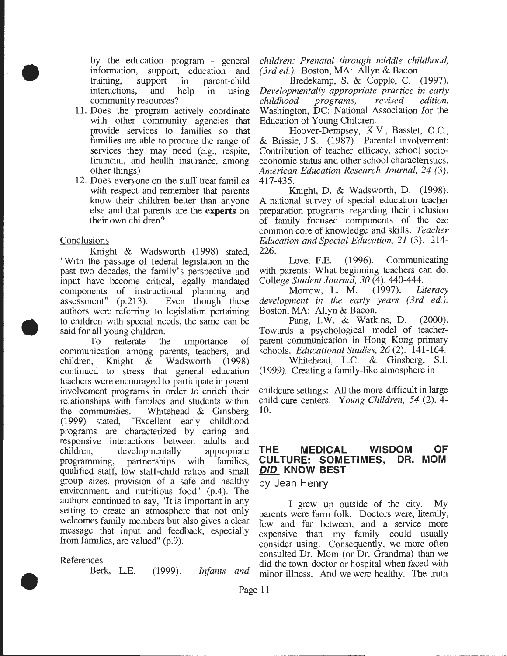by the education program - general<br>information, support, education and support, education and training, support in parent-child<br>interactions, and help in using interactions, and help in using community resources?

- 11. Does the program actively coordinate with other community agencies that provide services to families so that families are able to procure the range of services they may need (e.g., respite, financial, and health insurance, among other things)
- 12. Does everyone on the staff treat families with respect and remember that parents know their children better than anyone else and that parents are the experts on their own children?

#### **Conclusions**

•

•

Knight & Wadsworth (1998) stated, "With the passage of federal legislation in the past two decades, the family's perspective and input have become critical, legally mandated components of instructional planning and<br>assessment" (p.213). Even though these assessment"  $(p.213)$ . authors were referring to legislation pertaining to children with special needs, the same can be said for all young children.

To reiterate the importance of communication among parents, teachers, and children, Knight & Wadsworth (1998) continued to stress that general education teachers were encouraged to participate in parent involvement programs in order to enrich their relationships with families and students within the communities. Whitehead & Ginsberg (1999) stated, "Excellent early childhood programs are characterized by caring and responsive interactions between adults and children, developmentally appropriate programming, partnerships with families, qualified staff, low staff-child ratios and small group sizes, provision of a safe and healthy environment, and nutritious food" (p.4). The authors continued to say, "It is important in any setting to create an atmosphere that not only welcomes family members but also gives a clear message that input and feedback, especially from families, are valued" (p.9).

#### References

•

Berk, L.E. (1999). *Infants and* 

*children: Prenatal through middle childhood, (3rd ed.).* Boston, MA: Allyn & Bacon.

Bredekamp, S. & Copple, C. (1997). *Developmentally appropriate practice in early*  programs, Washington, DC: National Association for the Education of Young Children.

Hoover-Dempsey, K.V., Basslet, O.C., & Brissie, J.S. (1987). Parental involvement: Contribution of teacher efficacy, school socioeconomic status and other school characteristics. *American Education Research Journal, 24 (3).*  417-435.

Knight, D. & Wadsworth, D. (1998). A national survey of special education teacher preparation programs regarding their inclusion of family focused components of the cec common core of knowledge and skills. *Teacher Education and Special Education, 21* (3). 214- 226.

Love, F.E. (1996). Communicating with parents: What beginning teachers can do. *College Student Journal, 30* (4). 440-444.

Morrow, L. M. (1997). *Literacy development in the early years ( 3rd ed.).*  Boston, MA: Allyn & Bacon.

Pang, I.W. & Watkins, D. (2000). Towards a psychological model of teacherparent communication in Hong Kong primary schools. *Educational Studies, 26* (2). 141-164.

Whitehead, L.C. & Ginsberg, S.l. (1999). Creating a family-like atmosphere in

childcare settings: All the more difficult in large child care centers. *Young Children, 54* (2). 4- 10.

#### **THE MEDICAL WISDOM OF CULTURE: SOMETIMES, DR. MOM DID KNOW BEST**

by Jean Henry

I grew up outside of the city. My parents were farm folk. Doctors were, literally, few and far between, and a service more expensive than my family could usually consider using. Consequently, we more often consulted Dr. Mom (or Dr. Grandma) than we did the town doctor or hospital when faced with minor illness. And we were healthy. The truth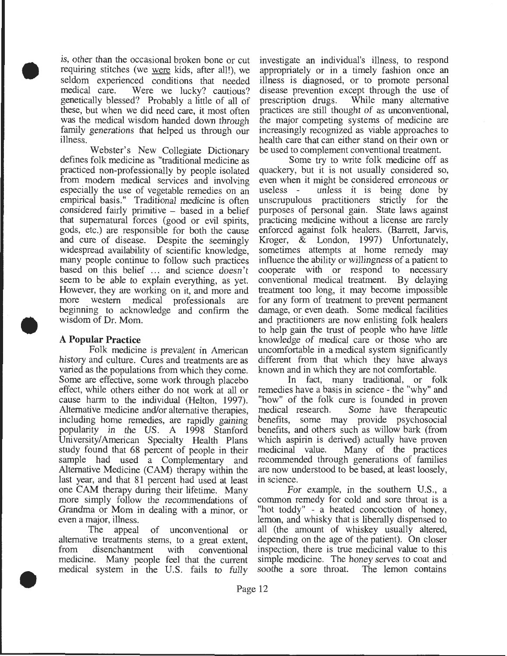is, other than the occasional broken bone or cut requiring stitches (we were kids, after all!), we seldom experienced conditions that needed<br>medical care. Were we lucky? cautious? Were we lucky? cautious? genetically blessed? Probably a little of all of these, but when we did need care, it most often was the medical wisdom handed down through family generations that helped us through our illness.

Webster's New Collegiate Dictionary defines folk medicine as "traditional medicine as practiced non-professionally by people isolated from modem medical services and involving especially the use of vegetable remedies on an empirical basis." Traditional medicine is often considered fairly primitive - based in a belief that supernatural forces (good or evil spirits, gods, etc.) are responsible for both the cause and cure of disease. Despite the seemingly widespread availability of scientific knowledge, many people continue to follow such practices based on this belief ... and science doesn't seem to be able to explain everything, as yet. However, they are working on it, and more and more western medical professionals are beginning to acknowledge and confirm the wisdom of Dr. Mom.

#### A **Popular Practice**

•

•

•

Folk medicine is prevalent in American history and culture. Cures and treatments are as varied as the populations from which they come. Some are effective, some work through placebo effect, while others either do not work at all or cause harm to the individual (Helton, 1997). Alternative medicine and/or alternative therapies, including home remedies, are rapidly gaining popularity in the US. A 1998 Stanford University/American Specialty Health Plans study found that 68 percent of people in their sample had used a Complementary and Alternative Medicine (CAM) therapy within the last year, and that 81 percent had used at least one CAM therapy during their lifetime. Many more simply follow the recommendations of Grandma or Mom in dealing with a minor, or even a major, illness.

The appeal of unconventional or alternative treatments stems, to a great extent, from disenchantment with conventional medicine. Many people feel that the current medical system in the U.S. fails to fully investigate an individual's illness, to respond appropriately or in a timely fashion once an illness is diagnosed, or to promote personal disease prevention except through the use of prescription drugs. While many alternative While many alternative. practices are still thought of as unconventional, the major competing systems of medicine are increasingly recognized as viable approaches to health care that can either stand on their own or be used to complement conventional treatment.

Some try to write folk medicine off as quackery, but it is not usually considered so, even when it might be considered erroneous or useless - unless it is being done by unscrupulous practitioners strictly for the purposes of personal gain. State laws against practicing medicine without a license are rarely enforced against folk healers. (Barrett, Jarvis, Kroger, & London, 1997) Unfortunately, sometimes attempts at home remedy may influence the ability or willingness of a patient to cooperate with or respond to necessary conventional medical treatment. By delaying treatment too long, it may become impossible for any form of treatment to prevent permanent damage, or even death. Some medical facilities and practitioners are now enlisting folk healers to help gain the trust of people who have little knowledge of medical care or those who are uncomfortable in a medical system significantly different from that which they have always known and in which they are not comfortable.

In fact, many traditional, or folk remedies have a basis in science - the "why" and "how" of the folk cure is founded in proven Some have therapeutic benefits, some may provide psychosocial benefits, and others such as willow bark (from which aspirin is derived) actually have proven medicinal value. Many of the practices recommended through generations of families are now understood to be based, at least loosely, in science.

For example, in the southern U.S., a common remedy for cold and sore throat is a "hot toddy" - a heated concoction of honey, lemon, and whisky that is liberally dispensed to all (the amount of whiskey usually altered, depending on the age of the patient). On closer inspection, there is true medicinal value to this simple medicine. The honey serves to coat and soothe a sore throat. The lemon contains soothe a sore throat.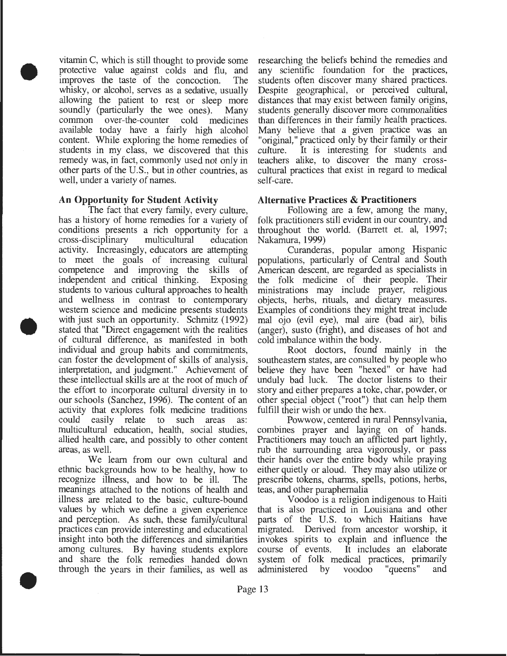vitamin C, which is still thought to provide some protective value against colds and flu, and improves the taste of the concoction. The whisky, or alcohol, serves as a sedative, usually allowing the patient to rest or sleep more soundly (particularly the wee ones). Many common over -the-counter cold medicines available today have a fairly high alcohol content. While exploring the home remedies of students in my class, we discovered that this remedy was, in fact, commonly used not only in other parts of the U.S., but in other countries, as well, under a variety of names.

#### **An Opportunity for Student Activity**

•

•

•

The fact that every family, every culture, has a history of home remedies for a variety of conditions presents a rich opportunity for a cross-disciplinary multicultural education activity. Increasingly, educators are attempting to meet the goals of increasing cultural competence and improving the skills of independent and critical thinking. Exposing students to various cultural approaches to health and wellness in contrast to contemporary western science and medicine presents students with just such an opportunity. Schmitz (1992) stated that "Direct engagement with the realities of cultural difference, as manifested in both individual and group habits and commitments, can foster the development of skills of analysis, interpretation, and judgment." Achievement of these intellectual skills are at the root of much of the effort to incorporate cultural diversity in to our schools (Sanchez, 1996). The content of an activity that explores folk medicine traditions could easily relate to such areas as: multicultural education, health, social studies, allied health care, and possibly to other content areas, as well.

We learn from our own cultural and ethnic backgrounds how to be healthy, how to recognize illness, and how to be ill. The meanings attached to the notions of health and illness are related to the basic, culture-bound values by which we define a given experience and perception. As such, these family/cultural practices can provide interesting and educational insight into both the differences and similarities among cultures. By having students explore and share the folk remedies handed down through the years in their families, as well as

researching the beliefs behind the remedies and any scientific foundation for the practices, students often discover many shared practices. Despite geographical, or perceived cultural, distances that may exist between family origins, students generally discover more commonalities than differences in their family health practices. Many believe that a given practice was an "original," practiced only by their family or their culture. It is interesting for students and teachers alike, to discover the many crosscultural practices that exist in regard to medical self-care.

#### **Alternative Practices & Practitioners**

Following are a few, among the many, folk practitioners still evident in our country, and throughout the world. (Barrett et. al, 1997; Nakamura, 1999)

Curanderas, popular among Hispanic populations, particularly of Central and South American descent, are regarded as specialists in the folk medicine of their people. Their ministrations may include prayer, religious objects, herbs, rituals, and dietary measures. Examples of conditions they might treat include mal ojo (evil eye), mal aire (bad air), bilis (anger), susto (fright), and diseases of hot and cold imbalance within the body.

Root doctors, found mainly in the southeastern states, are consulted by people who believe they have been "hexed" or have had unduly bad luck. The doctor listens to their story and either prepares a toke, char, powder, or other special object ("root") that can help them fulfill their wish or undo the hex.

Powwow, centered in rural Pennsylvania, combines prayer and laying on of hands. Practitioners may touch an afflicted part lightly, rub the surrounding area vigorously, or pass their hands over the entire body while praying either quietly or aloud. They may also utilize or prescribe tokens, charms, spells, potions, herbs, teas, and other paraphernalia

Voodoo is a religion indigenous to Haiti that is also practiced in Louisiana and other parts of the U.S. to which Haitians have migrated. Derived from ancestor worship, it invokes spirits to explain and influence the course of events. It includes an elaborate system of folk medical practices, primarily<br>administered by voodoo "queens" and voodoo "queens" and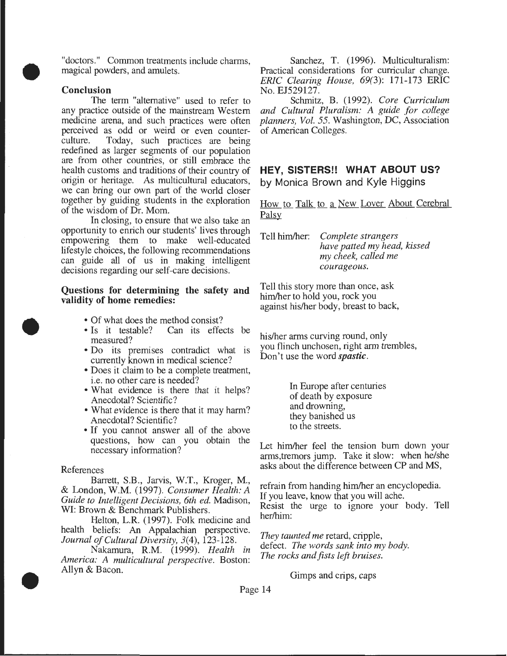"doctors." Common treatments include charms, magical powders, and amulets.

#### Conclusion

•

•

•

The term "alternative" used to refer to any practice outside of the mainstream Western medicine arena, and such practices were often perceived as odd or weird or even counterculture. Today, such practices are being redefined as larger segments of our population are from other countries, or still embrace the health customs and traditions of their country of origin or heritage. As multicultural educators, we can bring our own part of the world closer together by guiding students in the exploration of the wisdom of Dr. Mom.

In closing, to ensure that we also take an opportunity to enrich our students' lives through empowering them to make well-educated lifestyle choices, the following recommendations can guide all of us in making intelligent decisions regarding our self-care decisions.

#### Questions for determining the safety and validity of home remedies:

- Of what does the method consist?
- Is it testable? Can its effects be measured?
- Do its premises contradict what is currently known in medical science?
- Does it claim to be a complete treatment, i.e. no other care is needed?
- What evidence is there that it helps? Anecdotal? Scientific?
- What evidence is there that it may harm? Anecdotal? Scientific?
- If you cannot answer all of the above questions, how can you obtain the necessary information?

#### References

Barrett, S.B., Jarvis, W.T., Kroger, M., & London, W.M. (1997). *Consumer Health: A Guide to Intelligent Decisions, 6th ed.* Madison, WI: Brown & Benchmark Publishers.

Helton, L.R. (1997). Folk medicine and health beliefs: An Appalachian perspective. *Journal of Cultural Diversity,* 3(4), 123-128.

Nakamura, R.M. (1999). *Health in America: A multicultural perspective.* Boston: Allyn & Bacon.

Sanchez, T. (1996). Multiculturalism: Practical considerations for curricular change. *ERIC Clearing House, 69(3):* 171-173 ERIC No. EJ529127.

Schmitz, B. (1992). *Core Curriculum and Cultural Pluralism: A guide for college planners, Vol. 55.* Washington, DC, Association of American Colleges.

#### **HEY, SISTERS!! WHAT ABOUT US?**  by Monica Brown and Kyle Higgins

How to Talk to a New Lover About Cerebral Palsy

Tell him/her: *Complete strangers have patted my head, kissed my cheek, called me courageous.* 

Tell this story more than once, ask him/her to hold you, rock you against his/her body, breast to back,

his/her arms curving round, only you flinch unchosen, right arm trembles, Don't use the word *spastic.* 

> In Europe after centuries of death by exposure and drowning, they banished us to the streets.

Let him/her feel the tension bum down your arms,tremors jump. Take it slow: when he/she asks about the difference between CP and MS,

refrain from handing him/her an encyclopedia. If you leave, know that you will ache. Resist the urge to ignore your body. Tell her/him:

*They taunted me* retard, cripple, defect. *The words sank into my body. The rocks and fists left bruises.* 

Gimps and crips, caps

Page 14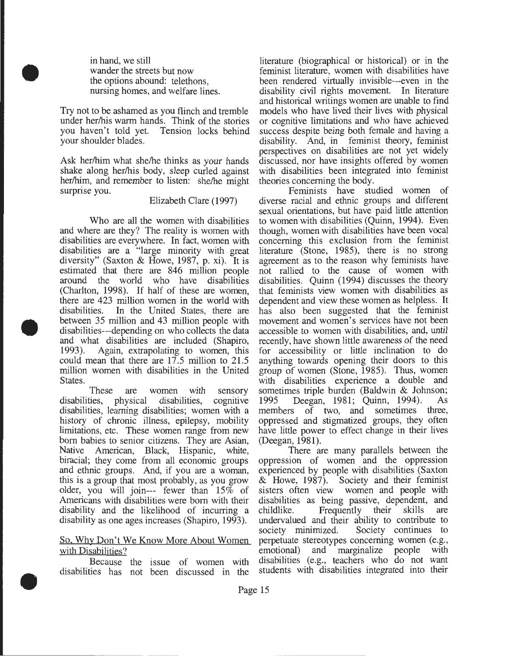in hand, we still wander the streets but now the options abound: telethons, nursing homes, and welfare lines.

•

•

•

Try not to be ashamed as you flinch and tremble under her/his warm hands. Think of the stories you haven't told yet. Tension locks behind your shoulder blades.

Ask her/him what she/he thinks as your hands shake along her/his body, sleep curled against her/him, and remember to listen: she/he might surprise you.

#### Elizabeth Clare (1997)

Who are all the women with disabilities and where are they? The reality is women with disabilities are everywhere. In fact, women with disabilities are a "large minority with great diversity" (Saxton & Howe, 1987, p. xi). It is estimated that there are 846 million people around the world who have disabilities (Charlton, 1998). If half of these are women, there are 423 million women in the world with disabilities. In the United States, there are between 35 million and 43 million people with disabilities---depending on who collects the data and what disabilities are included (Shapiro, 1993). Again, extrapolating to women, this could mean that there are 17.5 million to 21.5 million women with disabilities in the United States.

These are women with sensory disabilities, physical disabilities, cognitive disabilities, learning disabilities; women with a history of chronic illness, epilepsy, mobility limitations, etc. These women range from new born babies to senior citizens. They are Asian, Native American, Black, Hispanic, white, biracial; they come from all economic groups and ethnic groups. And, if you are a woman, this is a group that most probably, as you grow older, you will join--- fewer than 15% of Americans with disabilities were born with their disability and the likelihood of incurring a disability as one ages increases (Shapiro, 1993).

#### So. Why Don't We Know More About Women with Disabilities?

Because the issue of women with disabilities has not been discussed in the literature (biographical or historical) or in the feminist literature, women with disabilities have been rendered virtually invisible---even in the disability civil rights movement. In literature and historical writings women are unable to find models who have lived their lives with physical or cognitive limitations and who have achieved success despite being both female and having a disability. And, in feminist theory, feminist perspectives on disabilities are not yet widely discussed, nor have insights offered by women with disabilities been integrated into feminist theories concerning the body.

Feminists have studied women of diverse racial and ethnic groups and different sexual orientations, but have paid little attention to women with disabilities (Quinn, 1994). Even though, women with disabilities have been vocal concerning this exclusion from the feminist literature (Stone, 1985), there is no strong agreement as to the reason why feminists have not rallied to the cause of women with disabilities. Quinn (1994) discusses the theory that feminists view women with disabilities as dependent and view these women as helpless. It has also been suggested that the feminist movement and women's services have not been accessible to women with disabilities, and, until recently, have shown little awareness of the need for accessibility or little inclination to do anything towards opening their doors to this group of women (Stone, 1985). Thus, women with disabilities experience a double and sometimes triple burden (Baldwin & Johnson; 1995 Deegan, 1981; Quinn, 1994). As members of two, and sometimes three, oppressed and stigmatized groups, they often have little power to effect change in their lives (Deegan, 1981).

There are many parallels between the oppression of women and the oppression experienced by people with disabilities (Saxton & Howe, 1987). Society and their feminist sisters often view women and people with disabilities as being passive, dependent, and childlike. Frequently their skills are childlike. Frequently their skills undervalued and their ability to contribute to society minimized. Society continues to perpetuate stereotypes concerning women (e.g., emotional) and marginalize people with disabilities (e.g., teachers who do not want students with disabilities integrated into their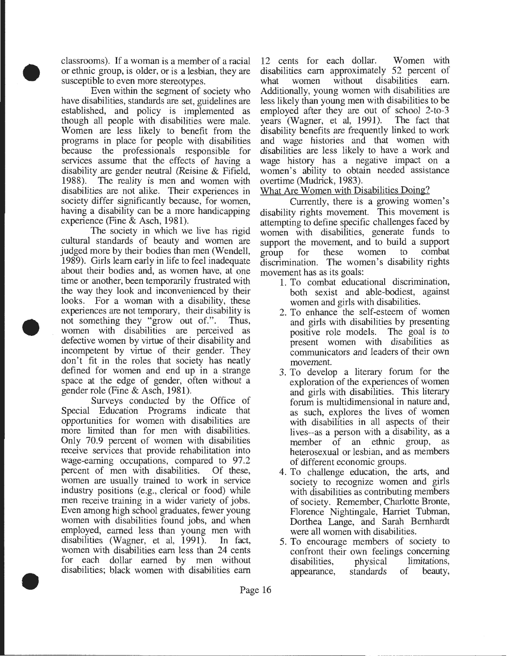classrooms). If a woman is a member of a racial or ethnic group, is older, or is a lesbian, they are susceptible to even more stereotypes.

•

•

•

Even within the segment of society who have disabilities, standards are set, guidelines are established, and policy is implemented as though all people with disabilities were male. Women are less likely to benefit from the programs in place for people with disabilities because the professionals responsible for services assume that the effects of having a disability are gender neutral (Reisine & Fifield, 1988). The reality is men and women with disabilities are not alike. Their experiences in society differ significantly because, for women, having a disability can be a more handicapping experience (Fine & Asch, 1981).

The society in which we live has rigid cultural standards of beauty and women are judged more by their bodies than men (Wendell, 1989). Girls learn early in life to feel inadequate about their bodies and, as women have, at one time or another, been temporarily frustrated with the way they look and inconvenienced by their looks. For a woman with a disability, these experiences are not temporary, their disability is not something they "grow out of.". Thus, women with disabilities are perceived as defective women by virtue of their disability and incompetent by virtue of their gender. They don't fit in the roles that society has neatly defined for women and end up in a strange space at the edge of gender, often without a gender role (Fine & Asch, 1981).

Surveys conducted by the Office of Special Education Programs indicate that opportunities for women with disabilities are more limited than for men with disabilities. Only 70.9 percent of women with disabilities receive services that provide rehabilitation into wage-earning occupations, compared to 97.2 percent of men with disabilities. Of these, women are usually trained to work in service industry positions (e.g., clerical or food) while men receive training in a wider variety of jobs. Even among high school graduates, fewer young women with disabilities found jobs, and when employed, earned less than young men with disabilities (Wagner, et al, 1991). In fact, women with disabilities earn less than 24 cents for each dollar earned by men without disabilities; black women with disabilities earn

12 cents for each dollar. Women with disabilities earn approximately 52 percent of<br>what women without disabilities earn. what women without disabilities Additionally, young women with disabilities are less likely than young men with disabilities to be employed after they are out of school 2-to-3 years (Wagner, et al, 1991). The fact that disability benefits are frequently linked to work and wage histories and that women with disabilities are less likely to have a work and wage history has a negative impact on a women's ability to obtain needed assistance overtime (Mudrick, 1983).

What Are Women with Disabilities Doing?

Currently, there is a growing women's disability rights movement. This movement is attempting to define specific challenges faced by women with disabilities, generate funds to support the movement, and to build a support<br>group for these women to combat group for these women to combat discrimination. The women's disability rights movement has as its goals:

- 1. To combat educational discrimination, both sexist and able-bodiest, against women and girls with disabilities.
- 2. To enhance the self-esteem of women and girls with disabilities by presenting positive role models. The goal is to present women with disabilities as communicators and leaders of their own movement.
- 3. To develop a literary forum for the exploration of the experiences of women and girls with disabilities. This literary forum is multidimensional in nature and, as such, explores the lives of women with disabilities in all aspects of their lives--as a person with a disability, as a member of an ethnic group, as heterosexual or lesbian, and as members of different economic groups.
- 4. To challenge education, the arts, and society to recognize women and girls with disabilities as contributing members of society. Remember, Charlotte Bronte, Florence Nightingale, Harriet Tubman, Dorthea Lange, and Sarah Bernhardt were all women with disabilities.
- 5. To encourage members of society to confront their own feelings concerning<br>disabilities, physical limitations, disabilities, physical appearance, standards of beauty,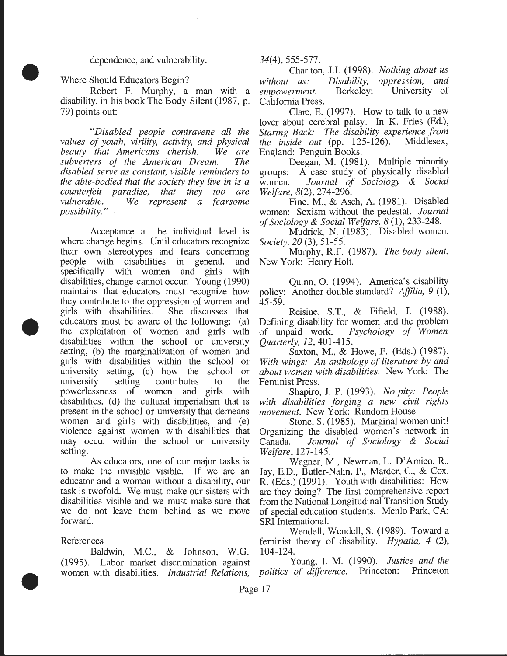dependence, and vulnerability.

Where Should Educators Begin?

•

•

•

Robert F. Murphy, a man with a disability, in his book The Body Silent (1987, p. 79) points out:

*"Disabled people contravene all the values of youth, virility, activity, and physical beauty that Americans cherish. subverters of the American Dream. The disabled serve as constant, visible reminders to the able-bodied that the society they live in is a counterfeit paradise, that they too are vulnerable. We represent a fearsome possibility.* "

Acceptance at the individual level is where change begins. Until educators recognize their own stereotypes and fears concerning people with disabilities in general, and specifically with women and girls with disabilities, change cannot occur. Young (1990) maintains that educators must recognize how they contribute to the oppression of women and girls with disabilities. She discusses that educators must be aware of the following: (a) the exploitation of women and girls with disabilities within the school or university setting, (b) the marginalization of women and girls with disabilities within the school or university setting, (c) how the school or university setting contributes to the university setting contributes to the powerlessness of women and girls with disabilities, (d) the cultural imperialism that is present in the school or university that demeans women and girls with disabilities, and (e) violence against women with disabilities that may occur within the school or university setting.

As educators, one of our major tasks is to make the invisible visible. If we are an educator and a woman without a disability, our task is twofold. We must make our sisters with disabilities visible and we must make sure that we do not leave them behind as we move forward.

References

Baldwin, M.C., & Johnson, W.G. (1995). Labor market discrimination against women with disabilities. *Industrial Relations,*  *34(4),* 555-577.

Charlton, J.l. (1998). *Nothing about us without us: Disability,*   $empowerment.$ California Press. *oppression, and*  University of

Clare, E. (1997). How to talk to a new lover about cerebral palsy. In K. Fries (Ed.), *Staring Back: The disability experience from*   $the$  *inside out* (pp. 125-126). England: Penguin Books.

Deegan, M. (1981). Multiple minority groups: A case study of physically disabled women. *Journal of Sociology* & *Social Welfare,* 8(2), 274-296.

Fine. M., & Asch, A. (1981). Disabled women: Sexism without the pedestal. *Journal of Sociology* & *Social Welfare, 8* (1), 233-248.

Mudrick, N. (1983). Disabled women. *Society, 20* (3), 51-55.

Murphy, R.F. (1987). *The body silent.*  New York: Henry Holt.

Quinn, 0. (1994). America's disability policy: Another double standard? *Affilia, 9* (1), 45-59.

Reisine, S.T., & Fifield, J. (1988). Defining disability for women and the problem of unpaid work. *Psychology of Women Quarterly, 12,* 401-415.

Saxton, M., & Howe, F. (Eds.) (1987). *With wings: An anthology of literature by and about women with disabilities.* New York: The Feminist Press.

Shapiro, J. P. (1993). *No pity: People with disabilities forging a new civil rights movement.* New York: Random House.

Stone, S. (1985). Marginal women unit! Organizing the disabled women's network in Canada. *Journal of Sociology* & *Social Welfare,* 127-145.

Wagner, M., Newman, L. D'Amico, R., Jay, E.D., Butler-Nalin, P., Marder, C., & Cox, R. (Eds.) (1991). Youth with disabilities: How are they doing? The first comprehensive report from the National Longitudinal Transition Study of special education students. Menlo Park, CA: SRI International.

Wendell, Wendell, S. (1989). Toward a feminist theory of disability. *Hypatia, 4* (2), 104-124.

Young, I. M. (1990). *Justice and the politics of difference.* Princeton: Princeton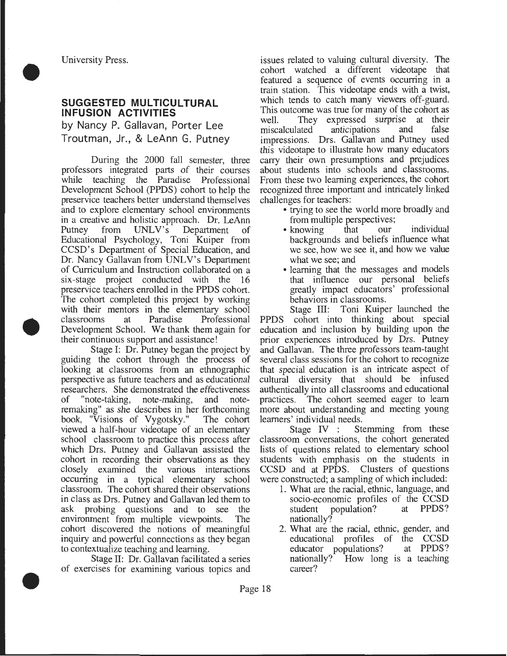•

•

•

#### **SUGGESTED MULTICULTURAL INFUSION ACTIVITIES**

by Nancy P. Gallavan, Porter Lee Troutman, Jr., & LeAnn G. Putney

During the 2000 fall semester, three professors integrated parts of their courses while teaching the Paradise Professional Development School (PPDS) cohort to help the preservice teachers better understand themselves and to explore elementary school environments in a creative and holistic approach. Dr. LeAnn Putney from UNLV's Department of Educational Psychology, Toni Kuiper from CCSD's Department of Special Education, and Dr. Nancy Gallavan from UNLV's Department of Curriculum and Instruction collaborated on a six-stage project conducted with the 16 preservice teachers enrolled in the PPDS cohort. The cohort completed this project by working with their mentors in the elementary school classrooms at Paradise Professional Development School. We thank them again for their continuous support and assistance!

Stage I: Dr. Putney began the project by guiding the cohort through the process of looking at classrooms from an ethnographic perspective as future teachers and as educational researchers. She demonstrated the effectiveness of "note-taking, note-making, and noteremaking" as she describes in her forthcoming book, "Visions of Vygotsky." The cohort viewed a half-hour videotape of an elementary school classroom to practice this process after which Drs. Putney and Gallavan assisted the cohort in recording their observations as they closely examined the various interactions occurring in a typical elementary school classroom. The cohort shared their observations in class as Drs. Putney and Gallavan led them to ask probing questions and to see the environment from multiple viewpoints. The cohort discovered the notions of meaningful inquiry and powerful connections as they began to contextualize teaching and learning.

Stage II: Dr. Gallavan facilitated a series of exercises for examining various topics and issues related to valuing cultural diversity. The cohort watched a different videotape that featured a sequence of events occurring in a train station. This videotape ends with a twist, which tends to catch many viewers off-guard. This outcome was true for many of the cohort as well. They expressed surprise at their<br>miscalculated anticipations and false anticipations impressions. Drs. Gallavan and Putney used this videotape to illustrate how many educators carry their own presumptions and prejudices about students into schools and classrooms. From these two learning experiences, the cohort recognized three important and intricately linked challenges for teachers:

- trying to see the world more broadly and
- from multiple perspectives;<br>knowing that our • knowing that our individual backgrounds and beliefs influence what we see, how we see it, and how we value what we see; and
- learning that the messages and models that influence our personal beliefs greatly impact educators' professional behaviors in classrooms.

Stage III: Toni Kuiper launched the PPDS cohort into thinking about special education and inclusion by building upon the prior experiences introduced by Drs. Putney and Gallavan. The three professors team-taught several class sessions for the cohort to recognize that special education is an intricate aspect of cultural diversity that should be infused authentically into all classrooms and educational practices. The cohort seemed eager to learn more about understanding and meeting young

learners' individual needs.<br>Stage IV : St Stemming from these classroom conversations, the cohort generated lists of questions related to elementary school students with emphasis on the students in CCSD and at PPDS. Clusters of questions were constructed; a sampling of which included:

- 1. What are the racial, ethnic, language, and socio-economic profiles of the CCSD<br>student population? at PPDS? student population? at nationally?
- 2. What are the racial, ethnic, gender, and educational profiles of the CCSD<br>educator populations? at PPDS? educator populations? nationally? How long is a teaching career?